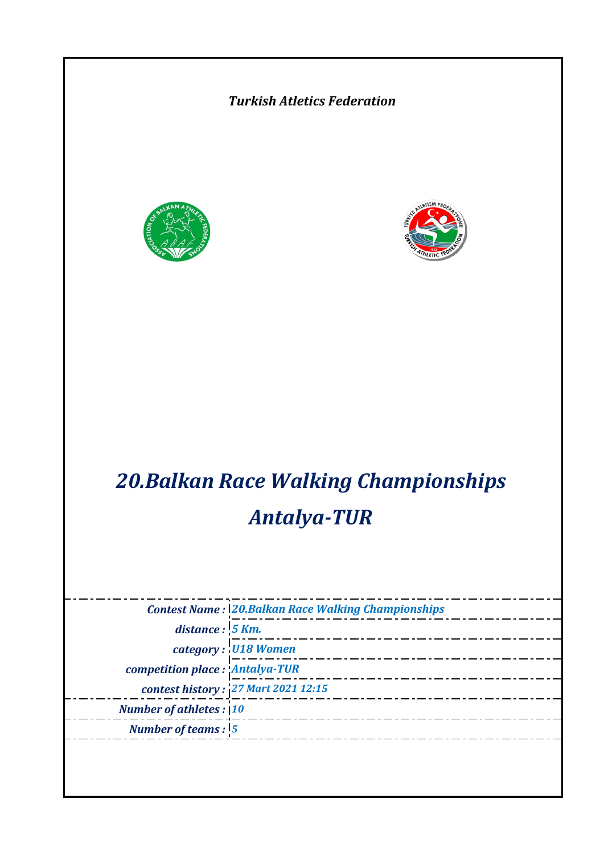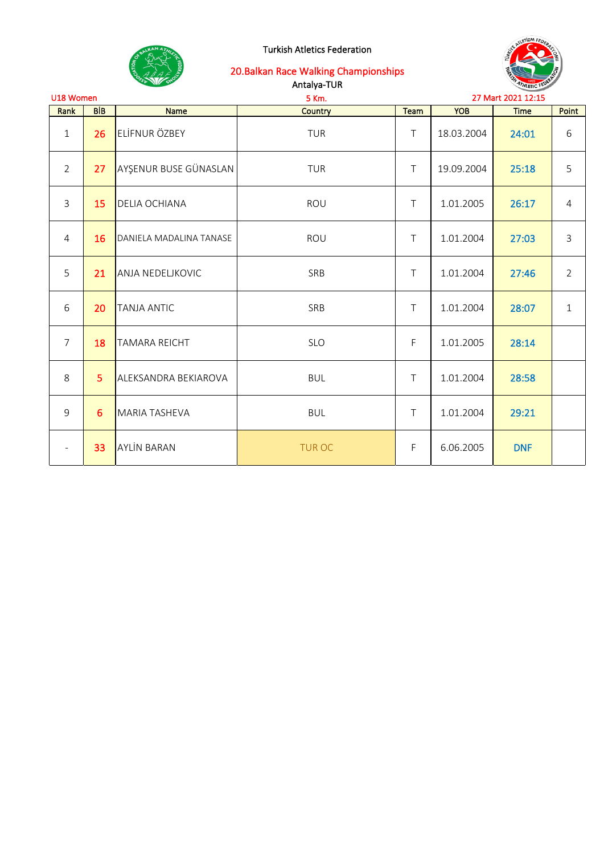



| U18 Women<br>5 Km.       |                 |                         |               |             |            | 27 Mart 2021 12:15 |                |
|--------------------------|-----------------|-------------------------|---------------|-------------|------------|--------------------|----------------|
| Rank                     | <b>BIB</b>      | Name                    | Country       | Team        | <b>YOB</b> | <b>Time</b>        | Point          |
| $\mathbf{1}$             | 26              | ELİFNUR ÖZBEY           | <b>TUR</b>    | $\top$      | 18.03.2004 | 24:01              | 6              |
| $\overline{2}$           | 27 <sub>2</sub> | AYŞENUR BUSE GÜNASLAN   | <b>TUR</b>    | $\top$      | 19.09.2004 | 25:18              | 5              |
| $\mathbf{3}$             | 15              | <b>DELIA OCHIANA</b>    | ROU           | $\top$      | 1.01.2005  | 26:17              | 4              |
| $\overline{4}$           | 16              | DANIELA MADALINA TANASE | ROU           | $\top$      | 1.01.2004  | 27:03              | 3              |
| 5                        | 21              | <b>ANJA NEDELJKOVIC</b> | SRB           | $\top$      | 1.01.2004  | 27:46              | $\overline{2}$ |
| 6                        | 20              | <b>TANJA ANTIC</b>      | SRB           | $\top$      | 1.01.2004  | 28:07              | 1              |
| $\overline{7}$           | 18              | <b>TAMARA REICHT</b>    | <b>SLO</b>    | F           | 1.01.2005  | 28:14              |                |
| 8                        | 5               | ALEKSANDRA BEKIAROVA    | <b>BUL</b>    | $\top$      | 1.01.2004  | 28:58              |                |
| 9                        | 6               | <b>MARIA TASHEVA</b>    | <b>BUL</b>    | $\top$      | 1.01.2004  | 29:21              |                |
| $\overline{\phantom{a}}$ | 33              | <b>AYLIN BARAN</b>      | <b>TUR OC</b> | $\mathsf F$ | 6.06.2005  | <b>DNF</b>         |                |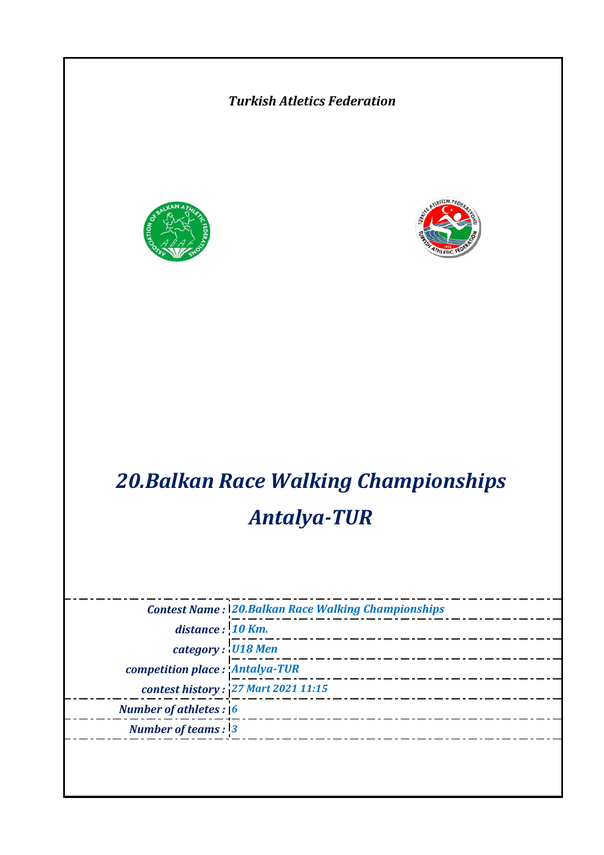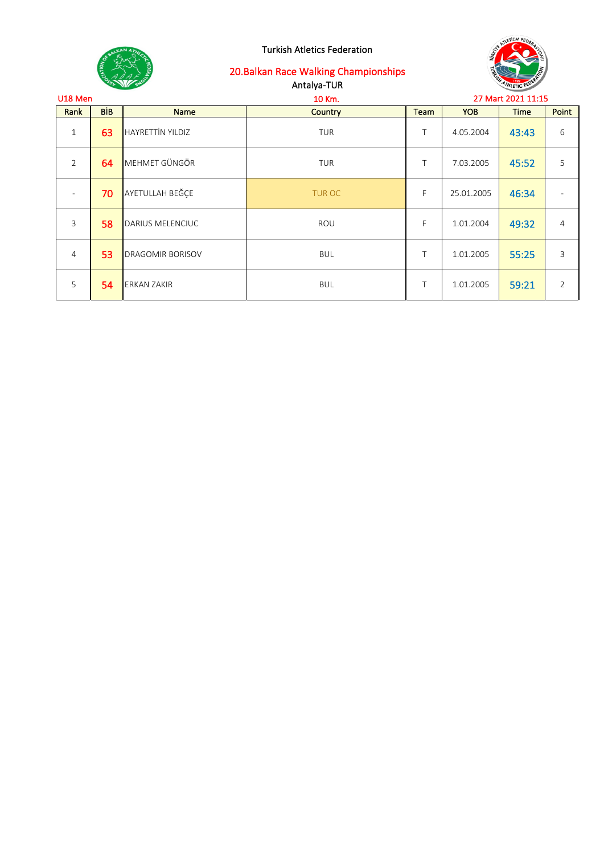

| U18 Men        |            |                         | 10 Km.         | 27 Mart 2021 11:15 |            |             |       |
|----------------|------------|-------------------------|----------------|--------------------|------------|-------------|-------|
| Rank           | <b>BIB</b> | <b>Name</b>             | <b>Country</b> | Team               | <b>YOB</b> | <b>Time</b> | Point |
| $\mathbf{1}$   | 63         | <b>HAYRETTİN YILDIZ</b> | TUR            | T                  | 4.05.2004  | 43:43       | 6     |
| $\overline{2}$ | 64         | MEHMET GÜNGÖR           | TUR            | Τ                  | 7.03.2005  | 45:52       | 5     |
|                | 70         | AYETULLAH BEĞÇE         | <b>TUR OC</b>  | F                  | 25.01.2005 | 46:34       |       |
| $\overline{3}$ | 58         | DARIUS MELENCIUC        | ROU            | F                  | 1.01.2004  | 49:32       | 4     |
| $\overline{4}$ | 53         | <b>DRAGOMIR BORISOV</b> | <b>BUL</b>     | T                  | 1.01.2005  | 55:25       | 3     |
| 5              | 54         | <b>ERKAN ZAKIR</b>      | <b>BUL</b>     | Τ                  | 1.01.2005  | 59:21       | 2     |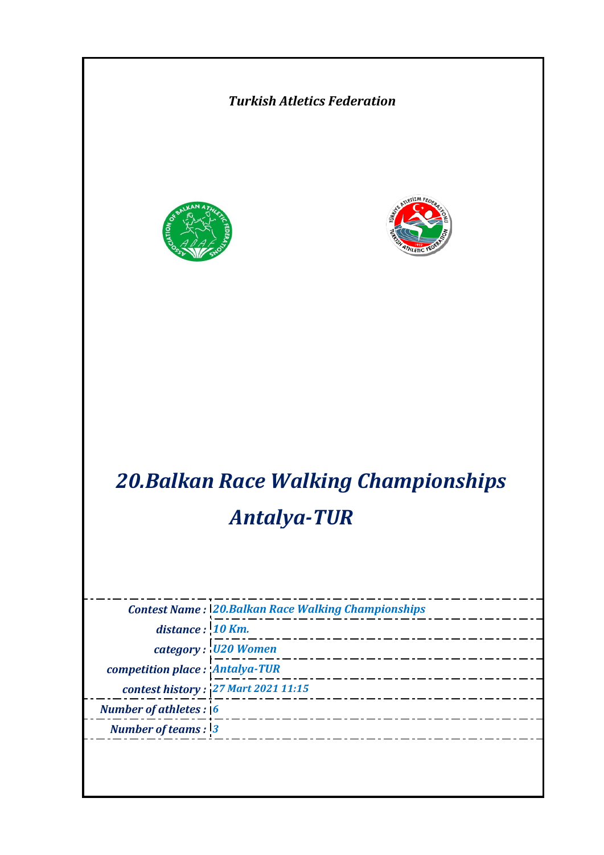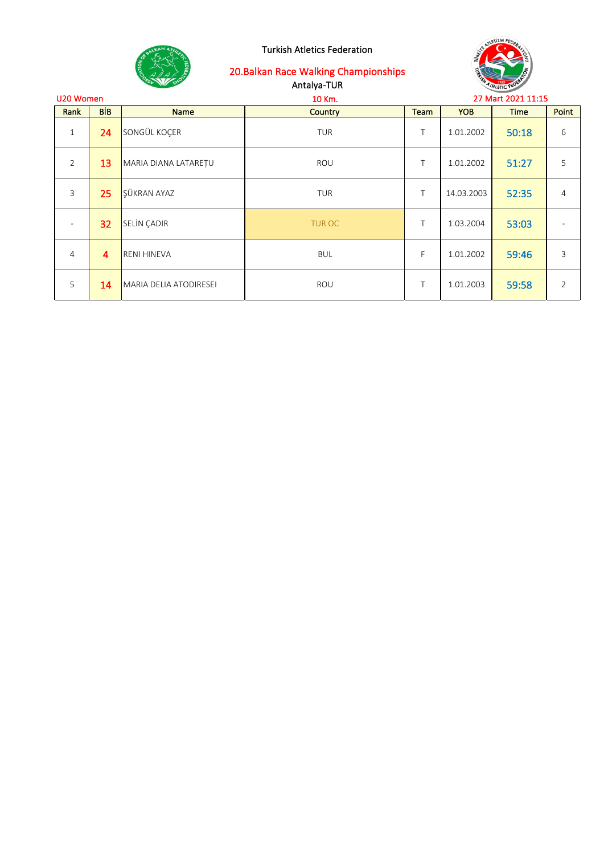



| U20 Women      |            |                        | 10 Km.         | 27 Mart 2021 11:15 |            |             |                |
|----------------|------------|------------------------|----------------|--------------------|------------|-------------|----------------|
| Rank           | <b>BİB</b> | <b>Name</b>            | <b>Country</b> | <b>Team</b>        | <b>YOB</b> | <b>Time</b> | Point          |
| $\mathbf{1}$   | 24         | SONGÜL KOÇER           | <b>TUR</b>     | Τ                  | 1.01.2002  | 50:18       | 6              |
| $\overline{2}$ | 13         | MARIA DIANA LATAREȚU   | ROU            | $\top$             | 1.01.2002  | 51:27       | 5              |
| 3              | 25         | ŞÜKRAN AYAZ            | <b>TUR</b>     | T                  | 14.03.2003 | 52:35       | $\overline{4}$ |
|                | 32         | <b>SELIN ÇADIR</b>     | <b>TUR OC</b>  | T                  | 1.03.2004  | 53:03       |                |
| 4              | 4          | <b>RENI HINEVA</b>     | <b>BUL</b>     | F                  | 1.01.2002  | 59:46       | 3              |
| 5              | 14         | MARIA DELIA ATODIRESEI | ROU            | Τ                  | 1.01.2003  | 59:58       | $\overline{2}$ |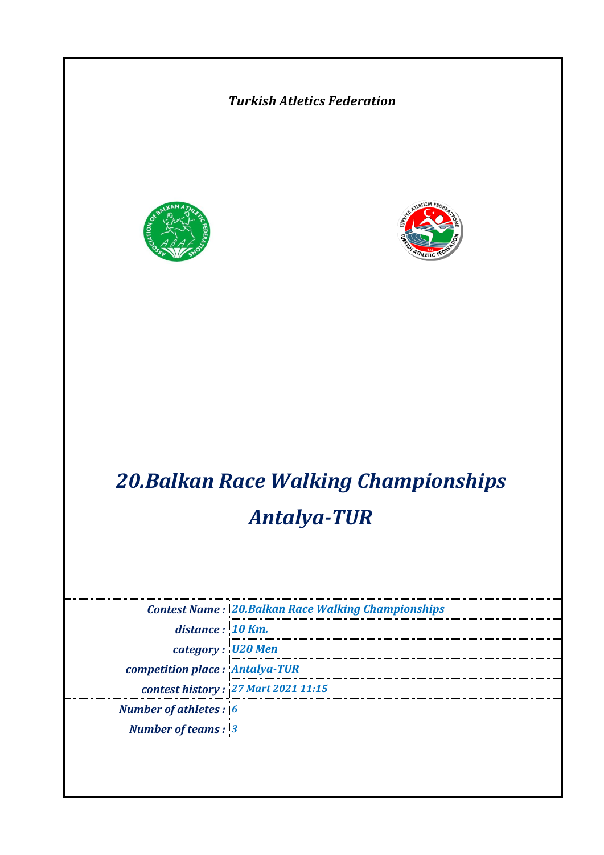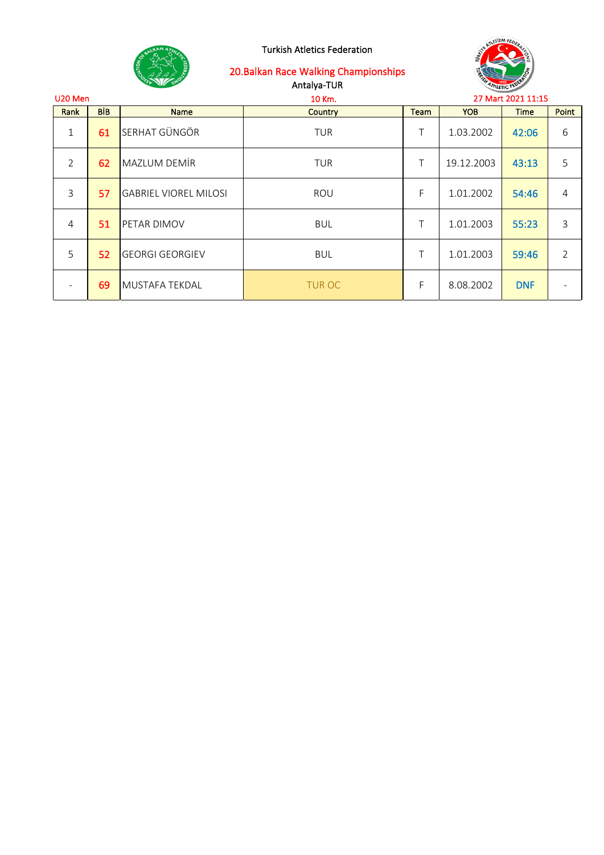

# 20.Balkan Race Walking Championships

Antalya-TUR



| U <sub>20</sub> Men |            |                              | 10 Km.         | 27 Mart 2021 11:15 |            |             |                |
|---------------------|------------|------------------------------|----------------|--------------------|------------|-------------|----------------|
| Rank                | <b>BIB</b> | <b>Name</b>                  | <b>Country</b> | Team               | <b>YOB</b> | <b>Time</b> | Point          |
| $\mathbf{1}$        | 61         | <b>SERHAT GÜNGÖR</b>         | <b>TUR</b>     | Τ                  | 1.03.2002  | 42:06       | 6              |
| $\overline{2}$      | 62         | MAZLUM DEMIR                 | <b>TUR</b>     | Τ                  | 19.12.2003 | 43:13       | 5              |
| 3                   | 57         | <b>GABRIEL VIOREL MILOSI</b> | ROU            | F                  | 1.01.2002  | 54:46       | $\overline{4}$ |
| 4                   | 51         | <b>PETAR DIMOV</b>           | <b>BUL</b>     | Τ                  | 1.01.2003  | 55:23       | 3              |
| 5                   | 52         | <b>GEORGI GEORGIEV</b>       | <b>BUL</b>     | Τ                  | 1.01.2003  | 59:46       | $\overline{2}$ |
|                     | 69         | <b>MUSTAFA TEKDAL</b>        | <b>TUR OC</b>  | F                  | 8.08.2002  | <b>DNF</b>  |                |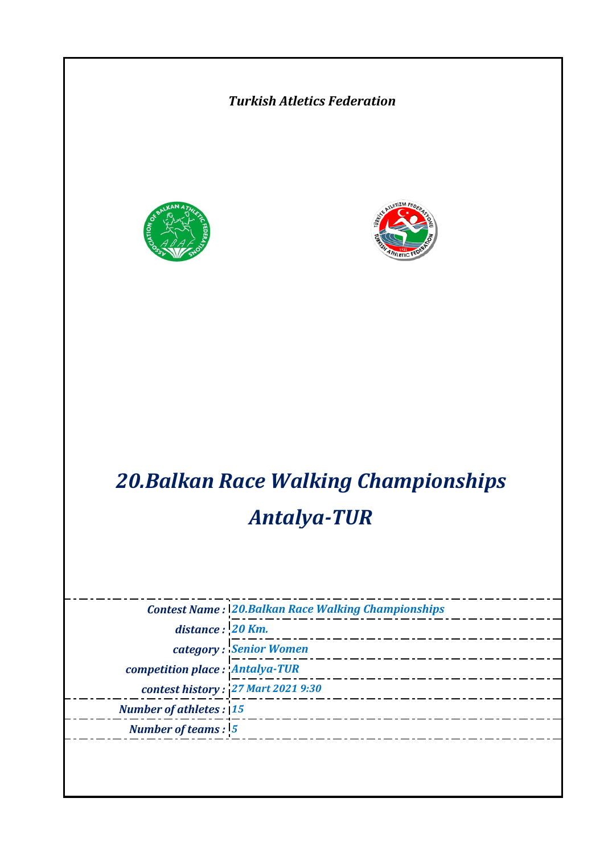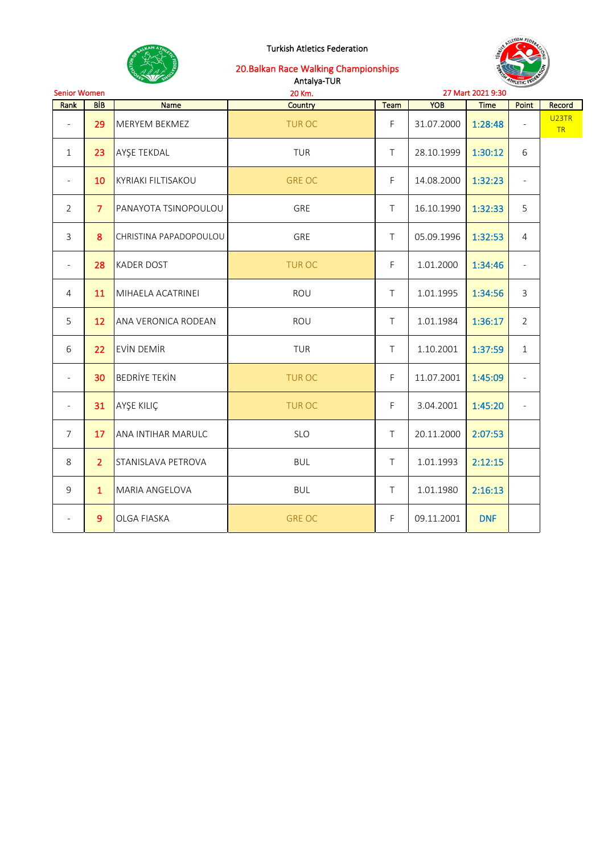

20.Balkan Race Walking Championships

|                          |                 | $35$ M/s                  | Antalya-TUR   | <b>ATHLETIC FEDER</b> |            |                   |                          |                          |
|--------------------------|-----------------|---------------------------|---------------|-----------------------|------------|-------------------|--------------------------|--------------------------|
| <b>Senior Women</b>      |                 |                           | 20 Km.        |                       |            | 27 Mart 2021 9:30 |                          |                          |
| Rank                     | <b>BIB</b>      | <b>Name</b>               | Country       | Team                  | <b>YOB</b> | <b>Time</b>       | Point                    | Record                   |
| $\overline{\phantom{a}}$ | 29              | MERYEM BEKMEZ             | <b>TUROC</b>  | F                     | 31.07.2000 | 1:28:48           |                          | U <sub>23</sub> TR<br>TR |
| $\mathbf{1}$             | 23              | AYŞE TEKDAL               | TUR           | $\top$                | 28.10.1999 | 1:30:12           | 6                        |                          |
| $\overline{\phantom{a}}$ | 10              | <b>KYRIAKI FILTISAKOU</b> | <b>GRE OC</b> | F                     | 14.08.2000 | 1:32:23           | $\overline{\phantom{a}}$ |                          |
| $\overline{2}$           | $\overline{7}$  | PANAYOTA TSINOPOULOU      | GRE           | $\top$                | 16.10.1990 | 1:32:33           | 5                        |                          |
| 3                        | 8               | CHRISTINA PAPADOPOULOU    | GRE           | $\top$                | 05.09.1996 | 1:32:53           | $\overline{4}$           |                          |
| $\blacksquare$           | 28              | <b>KADER DOST</b>         | <b>TUR OC</b> | F.                    | 1.01.2000  | 1:34:46           | $\overline{\phantom{a}}$ |                          |
| $\overline{4}$           | 11              | MIHAELA ACATRINEI         | ROU           | $\top$                | 1.01.1995  | 1:34:56           | $\mathsf{3}$             |                          |
| 5                        | 12 <sup>2</sup> | ANA VERONICA RODEAN       | ROU           | $\top$                | 1.01.1984  | 1:36:17           | $\overline{2}$           |                          |
| 6                        | 22              | <b>EVIN DEMIR</b>         | <b>TUR</b>    | $\top$                | 1.10.2001  | 1:37:59           | $\mathbf{1}$             |                          |
| $\blacksquare$           | 30              | <b>BEDRİYE TEKİN</b>      | <b>TUR OC</b> | F                     | 11.07.2001 | 1:45:09           | $\overline{\phantom{a}}$ |                          |
| $\overline{\phantom{a}}$ | 31              | AYŞE KILIÇ                | <b>TUROC</b>  | F                     | 3.04.2001  | 1:45:20           | $\overline{\phantom{a}}$ |                          |
| $\overline{7}$           | 17              | ANA INTIHAR MARULC        | SLO           | $\top$                | 20.11.2000 | 2:07:53           |                          |                          |
| 8                        | $\overline{2}$  | STANISLAVA PETROVA        | <b>BUL</b>    | $\top$                | 1.01.1993  | 2:12:15           |                          |                          |
| 9                        | $\mathbf{1}$    | MARIA ANGELOVA            | <b>BUL</b>    | $\top$                | 1.01.1980  | 2:16:13           |                          |                          |
| $\overline{\phantom{a}}$ | 9               | OLGA FIASKA               | <b>GRE OC</b> | F                     | 09.11.2001 | <b>DNF</b>        |                          |                          |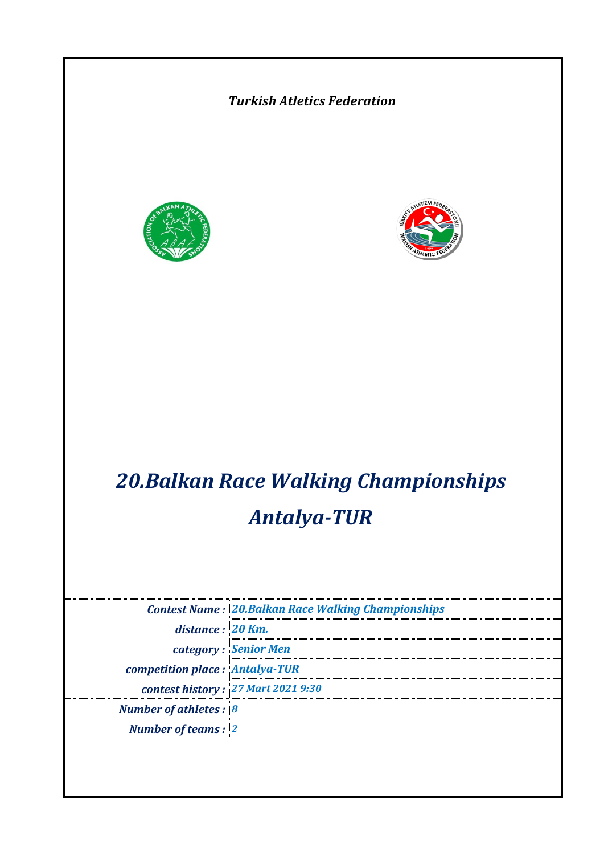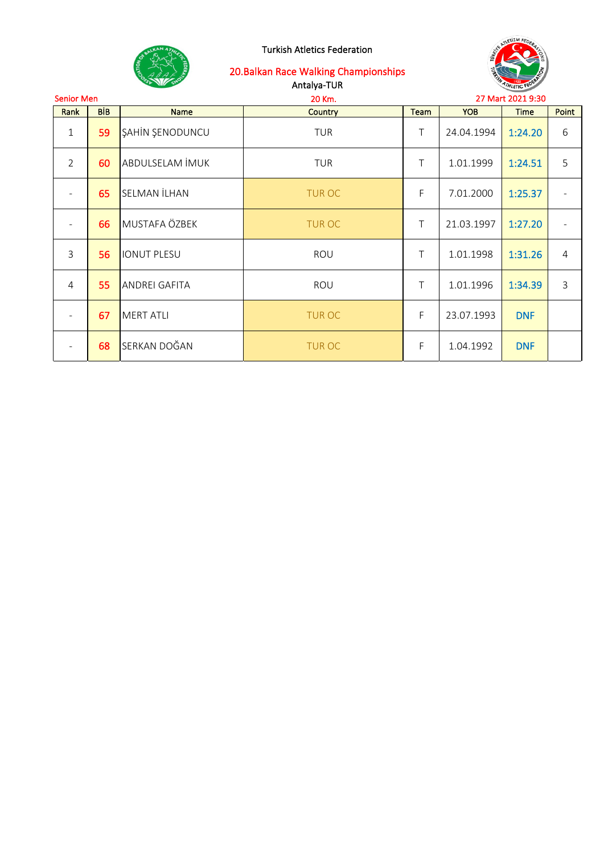



| <b>Senior Men</b><br>20 Km. |            |                                       |               |             | 27 Mart 2021 9:30 |            |                |
|-----------------------------|------------|---------------------------------------|---------------|-------------|-------------------|------------|----------------|
| Rank                        | <b>BIB</b> | <b>Team</b><br>Country<br><b>Name</b> |               | <b>YOB</b>  | <b>Time</b>       | Point      |                |
| 1                           | 59         | <b>ŞAHİN ŞENODUNCU</b>                | <b>TUR</b>    | Τ           | 24.04.1994        | 1:24.20    | 6              |
| $\overline{2}$              | 60         | ABDULSELAM İMUK                       | <b>TUR</b>    | Τ           | 1.01.1999         | 1:24.51    | 5              |
|                             | 65         | <b>SELMAN İLHAN</b>                   | <b>TUR OC</b> | F           | 7.01.2000         | 1:25.37    |                |
|                             | 66         | MUSTAFA ÖZBEK                         | <b>TUR OC</b> | $\top$      | 21.03.1997        | 1:27.20    |                |
| 3                           | 56         | <b>IONUT PLESU</b>                    | ROU           | $\top$      | 1.01.1998         | 1:31.26    | $\overline{4}$ |
| 4                           | 55         | <b>ANDREI GAFITA</b>                  | ROU           | $\top$      | 1.01.1996         | 1:34.39    | $\overline{3}$ |
|                             | 67         | MERT ATLI                             | <b>TUR OC</b> | $\mathsf F$ | 23.07.1993        |            |                |
|                             | 68         | SERKAN DOĞAN                          | <b>TUR OC</b> | F           | 1.04.1992         | <b>DNF</b> |                |